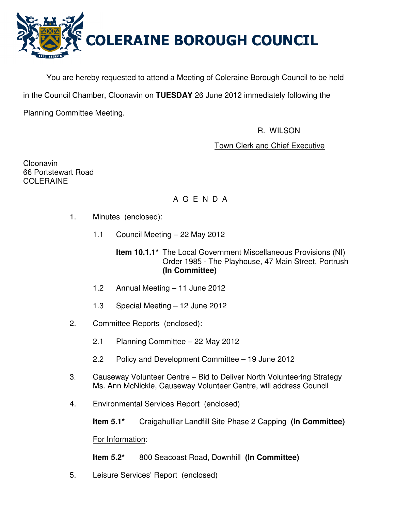

You are hereby requested to attend a Meeting of Coleraine Borough Council to be held in the Council Chamber, Cloonavin on **TUESDAY** 26 June 2012 immediately following the Planning Committee Meeting.

R. WILSON

# Town Clerk and Chief Executive

Cloonavin 66 Portstewart Road COLERAINE

# A G E N D A

- 1. Minutes (enclosed):
	- 1.1 Council Meeting 22 May 2012
		- **Item 10.1.1\*** The Local Government Miscellaneous Provisions (NI) Order 1985 - The Playhouse, 47 Main Street, Portrush **(In Committee)**
	- 1.2 Annual Meeting 11 June 2012
	- 1.3 Special Meeting 12 June 2012
- 2. Committee Reports (enclosed):
	- 2.1 Planning Committee 22 May 2012
	- 2.2 Policy and Development Committee 19 June 2012
- 3. Causeway Volunteer Centre Bid to Deliver North Volunteering Strategy Ms. Ann McNickle, Causeway Volunteer Centre, will address Council
- 4. Environmental Services Report (enclosed)

**Item 5.1\*** Craigahulliar Landfill Site Phase 2 Capping **(In Committee)**

For Information:

**Item 5.2\*** 800 Seacoast Road, Downhill **(In Committee)** 

5. Leisure Services' Report (enclosed)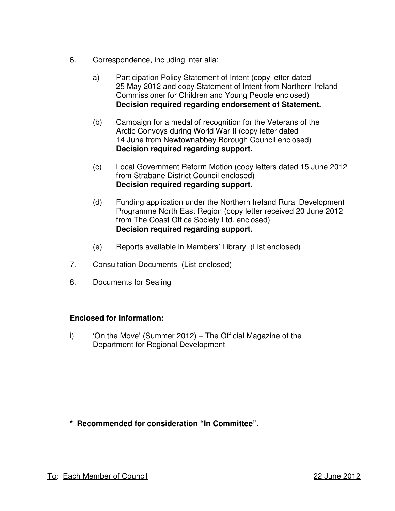- 6. Correspondence, including inter alia:
	- a) Participation Policy Statement of Intent (copy letter dated 25 May 2012 and copy Statement of Intent from Northern Ireland Commissioner for Children and Young People enclosed) **Decision required regarding endorsement of Statement.**
	- (b) Campaign for a medal of recognition for the Veterans of the Arctic Convoys during World War II (copy letter dated 14 June from Newtownabbey Borough Council enclosed) **Decision required regarding support.**
	- (c) Local Government Reform Motion (copy letters dated 15 June 2012 from Strabane District Council enclosed) **Decision required regarding support.**
	- (d) Funding application under the Northern Ireland Rural Development Programme North East Region (copy letter received 20 June 2012 from The Coast Office Society Ltd. enclosed) **Decision required regarding support.**
	- (e) Reports available in Members' Library (List enclosed)
- 7. Consultation Documents (List enclosed)
- 8. Documents for Sealing

# **Enclosed for Information:**

i) 'On the Move' (Summer 2012) – The Official Magazine of the Department for Regional Development

**\* Recommended for consideration "In Committee".**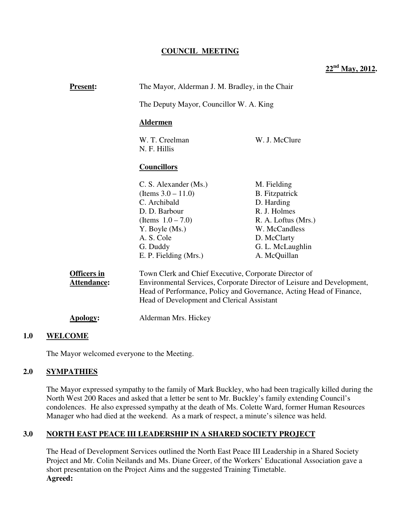# **COUNCIL MEETING**

**22nd May, 2012.**

| <b>Present:</b>                   | The Mayor, Alderman J. M. Bradley, in the Chair<br>The Deputy Mayor, Councillor W. A. King<br><b>Aldermen</b>                                                                                                                                        |                                                                                                                                               |
|-----------------------------------|------------------------------------------------------------------------------------------------------------------------------------------------------------------------------------------------------------------------------------------------------|-----------------------------------------------------------------------------------------------------------------------------------------------|
|                                   |                                                                                                                                                                                                                                                      |                                                                                                                                               |
|                                   |                                                                                                                                                                                                                                                      |                                                                                                                                               |
|                                   | W. T. Creelman<br>N. F. Hillis                                                                                                                                                                                                                       | W. J. McClure                                                                                                                                 |
|                                   | <b>Councillors</b>                                                                                                                                                                                                                                   |                                                                                                                                               |
|                                   | C. S. Alexander (Ms.)<br>(Items $3.0 - 11.0$ )<br>C. Archibald<br>D. D. Barbour<br>(Items $1.0 - 7.0$ )<br>Y. Boyle (Ms.)<br>A. S. Cole<br>G. Duddy                                                                                                  | M. Fielding<br><b>B.</b> Fitzpatrick<br>D. Harding<br>R. J. Holmes<br>R. A. Loftus (Mrs.)<br>W. McCandless<br>D. McClarty<br>G. L. McLaughlin |
|                                   | E. P. Fielding (Mrs.)                                                                                                                                                                                                                                | A. McQuillan                                                                                                                                  |
| <b>Officers in</b><br>Attendance: | Town Clerk and Chief Executive, Corporate Director of<br>Environmental Services, Corporate Director of Leisure and Development,<br>Head of Performance, Policy and Governance, Acting Head of Finance,<br>Head of Development and Clerical Assistant |                                                                                                                                               |
| <b>Apology:</b>                   | Alderman Mrs. Hickey                                                                                                                                                                                                                                 |                                                                                                                                               |

### **1.0 WELCOME**

The Mayor welcomed everyone to the Meeting.

### **2.0 SYMPATHIES**

The Mayor expressed sympathy to the family of Mark Buckley, who had been tragically killed during the North West 200 Races and asked that a letter be sent to Mr. Buckley's family extending Council's condolences. He also expressed sympathy at the death of Ms. Colette Ward, former Human Resources Manager who had died at the weekend. As a mark of respect, a minute's silence was held.

### **3.0 NORTH EAST PEACE III LEADERSHIP IN A SHARED SOCIETY PROJECT**

The Head of Development Services outlined the North East Peace III Leadership in a Shared Society Project and Mr. Colin Neilands and Ms. Diane Greer, of the Workers' Educational Association gave a short presentation on the Project Aims and the suggested Training Timetable. **Agreed:**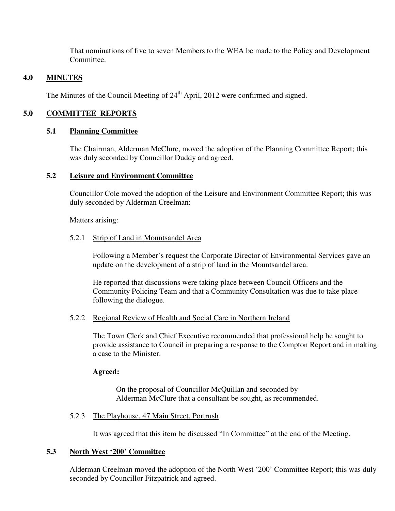That nominations of five to seven Members to the WEA be made to the Policy and Development Committee.

## **4.0 MINUTES**

The Minutes of the Council Meeting of  $24<sup>th</sup>$  April, 2012 were confirmed and signed.

# **5.0 COMMITTEE REPORTS**

## **5.1 Planning Committee**

The Chairman, Alderman McClure, moved the adoption of the Planning Committee Report; this was duly seconded by Councillor Duddy and agreed.

## **5.2 Leisure and Environment Committee**

Councillor Cole moved the adoption of the Leisure and Environment Committee Report; this was duly seconded by Alderman Creelman:

Matters arising:

### 5.2.1 Strip of Land in Mountsandel Area

Following a Member's request the Corporate Director of Environmental Services gave an update on the development of a strip of land in the Mountsandel area.

He reported that discussions were taking place between Council Officers and the Community Policing Team and that a Community Consultation was due to take place following the dialogue.

### 5.2.2 Regional Review of Health and Social Care in Northern Ireland

The Town Clerk and Chief Executive recommended that professional help be sought to provide assistance to Council in preparing a response to the Compton Report and in making a case to the Minister.

### **Agreed:**

On the proposal of Councillor McQuillan and seconded by Alderman McClure that a consultant be sought, as recommended.

### 5.2.3 The Playhouse, 47 Main Street, Portrush

It was agreed that this item be discussed "In Committee" at the end of the Meeting.

# **5.3 North West '200' Committee**

Alderman Creelman moved the adoption of the North West '200' Committee Report; this was duly seconded by Councillor Fitzpatrick and agreed.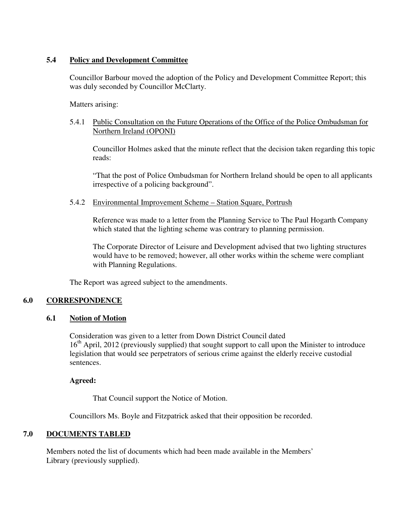# **5.4 Policy and Development Committee**

Councillor Barbour moved the adoption of the Policy and Development Committee Report; this was duly seconded by Councillor McClarty.

Matters arising:

## 5.4.1 Public Consultation on the Future Operations of the Office of the Police Ombudsman for Northern Ireland (OPONI)

Councillor Holmes asked that the minute reflect that the decision taken regarding this topic reads:

"That the post of Police Ombudsman for Northern Ireland should be open to all applicants irrespective of a policing background".

5.4.2 Environmental Improvement Scheme – Station Square, Portrush

Reference was made to a letter from the Planning Service to The Paul Hogarth Company which stated that the lighting scheme was contrary to planning permission.

The Corporate Director of Leisure and Development advised that two lighting structures would have to be removed; however, all other works within the scheme were compliant with Planning Regulations.

The Report was agreed subject to the amendments.

# **6.0 CORRESPONDENCE**

# **6.1 Notion of Motion**

Consideration was given to a letter from Down District Council dated 16<sup>th</sup> April, 2012 (previously supplied) that sought support to call upon the Minister to introduce legislation that would see perpetrators of serious crime against the elderly receive custodial sentences.

**Agreed:** 

That Council support the Notice of Motion.

Councillors Ms. Boyle and Fitzpatrick asked that their opposition be recorded.

# **7.0 DOCUMENTS TABLED**

 Members noted the list of documents which had been made available in the Members' Library (previously supplied).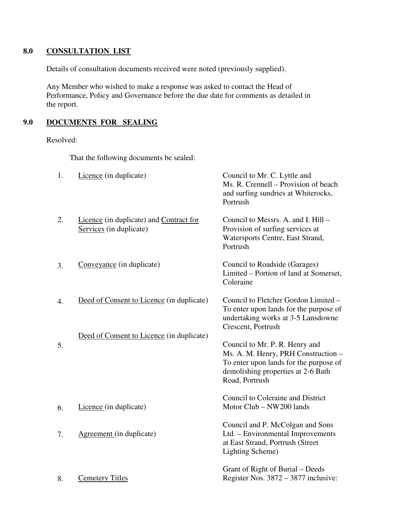# **8.0 CONSULTATION LIST**

Details of consultation documents received were noted (previously supplied).

 Any Member who wished to make a response was asked to contact the Head of Performance, Policy and Governance before the due date for comments as detailed in the report.

# **9.0 DOCUMENTS FOR SEALING**

### Resolved:

That the following documents be sealed:

| 1. | Licence (in duplicate)                                             | Council to Mr. C. Lyttle and<br>Ms. R. Crennell – Provision of beach<br>and surfing sundries at Whiterocks,<br>Portrush                                                 |
|----|--------------------------------------------------------------------|-------------------------------------------------------------------------------------------------------------------------------------------------------------------------|
| 2. | Licence (in duplicate) and Contract for<br>Services (in duplicate) | Council to Messrs. A. and I. Hill -<br>Provision of surfing services at<br>Watersports Centre, East Strand,<br>Portrush                                                 |
| 3. | Conveyance (in duplicate)                                          | Council to Roadside (Garages)<br>Limited – Portion of land at Somerset,<br>Coleraine                                                                                    |
| 4. | Deed of Consent to Licence (in duplicate)                          | Council to Fletcher Gordon Limited -<br>To enter upon lands for the purpose of<br>undertaking works at 3-5 Lansdowne<br>Crescent, Portrush                              |
| 5. | Deed of Consent to Licence (in duplicate)                          | Council to Mr. P. R. Henry and<br>Ms. A. M. Henry, PRH Construction -<br>To enter upon lands for the purpose of<br>demolishing properties at 2-6 Bath<br>Road, Portrush |
| 6. | Licence (in duplicate)                                             | Council to Coleraine and District<br>Motor Club - NW200 lands                                                                                                           |
| 7. | Agreement (in duplicate)                                           | Council and P. McColgan and Sons<br>Ltd. - Environmental Improvements<br>at East Strand, Portrush (Street<br>Lighting Scheme)                                           |
| 8. | <b>Cemetery Titles</b>                                             | Grant of Right of Burial – Deeds<br>Register Nos. 3872 – 3877 inclusive:                                                                                                |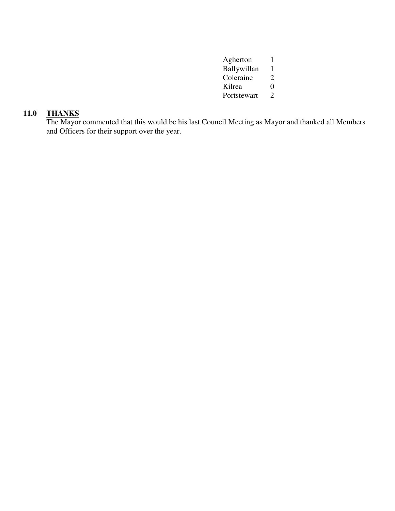| Agherton    |                             |
|-------------|-----------------------------|
| Ballywillan | 1                           |
| Coleraine   | $\mathcal{D}_{\mathcal{L}}$ |
| Kilrea      | 0                           |
| Portstewart | $\mathcal{L}$               |

# **11.0 THANKS**

The Mayor commented that this would be his last Council Meeting as Mayor and thanked all Members and Officers for their support over the year.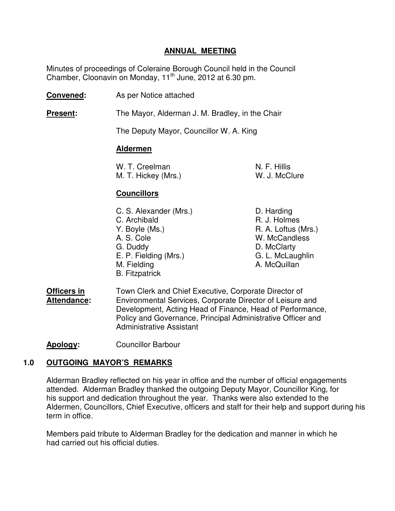# **ANNUAL MEETING**

 Minutes of proceedings of Coleraine Borough Council held in the Council Chamber, Cloonavin on Monday, 11<sup>th</sup> June, 2012 at 6.30 pm.

- **Convened:** As per Notice attached
- **Present:** The Mayor, Alderman J. M. Bradley, in the Chair

The Deputy Mayor, Councillor W. A. King

# **Aldermen**

| W. T. Creelman      | N. F. Hillis  |
|---------------------|---------------|
| M. T. Hickey (Mrs.) | W. J. McClure |

# **Councillors**

- C. S. Alexander (Mrs.) D. Harding C. Archibald **R. J. Holmes** Y. Boyle (Ms.) R. A. Loftus (Mrs.) A. S. Cole W. McCandless G. Duddy D. McClarty E. P. Fielding (Mrs.) G. L. McLaughlin M. Fielding **A. McQuillan** B. Fitzpatrick
- **Officers in** Town Clerk and Chief Executive, Corporate Director of **Attendance:** Environmental Services, Corporate Director of Leisure and Development, Acting Head of Finance, Head of Performance, Policy and Governance, Principal Administrative Officer and Administrative Assistant

**Apology:** Councillor Barbour

# **1.0 OUTGOING MAYOR'S REMARKS**

Alderman Bradley reflected on his year in office and the number of official engagements attended. Alderman Bradley thanked the outgoing Deputy Mayor, Councillor King, for his support and dedication throughout the year. Thanks were also extended to the Aldermen, Councillors, Chief Executive, officers and staff for their help and support during his term in office.

Members paid tribute to Alderman Bradley for the dedication and manner in which he had carried out his official duties.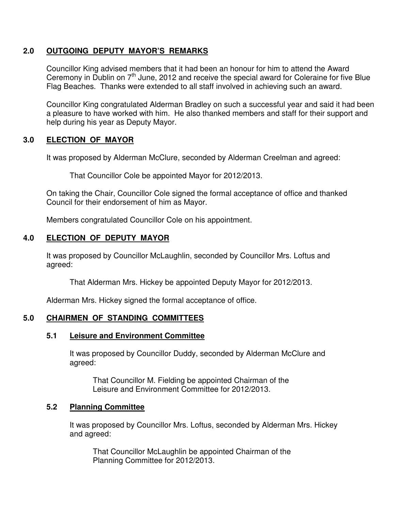# **2.0 OUTGOING DEPUTY MAYOR'S REMARKS**

Councillor King advised members that it had been an honour for him to attend the Award Ceremony in Dublin on 7<sup>th</sup> June, 2012 and receive the special award for Coleraine for five Blue Flag Beaches. Thanks were extended to all staff involved in achieving such an award.

Councillor King congratulated Alderman Bradley on such a successful year and said it had been a pleasure to have worked with him. He also thanked members and staff for their support and help during his year as Deputy Mayor.

# **3.0 ELECTION OF MAYOR**

It was proposed by Alderman McClure, seconded by Alderman Creelman and agreed:

That Councillor Cole be appointed Mayor for 2012/2013.

 On taking the Chair, Councillor Cole signed the formal acceptance of office and thanked Council for their endorsement of him as Mayor.

Members congratulated Councillor Cole on his appointment.

# **4.0 ELECTION OF DEPUTY MAYOR**

 It was proposed by Councillor McLaughlin, seconded by Councillor Mrs. Loftus and agreed:

That Alderman Mrs. Hickey be appointed Deputy Mayor for 2012/2013.

Alderman Mrs. Hickey signed the formal acceptance of office.

# **5.0 CHAIRMEN OF STANDING COMMITTEES**

# **5.1 Leisure and Environment Committee**

 It was proposed by Councillor Duddy, seconded by Alderman McClure and agreed:

 That Councillor M. Fielding be appointed Chairman of the Leisure and Environment Committee for 2012/2013.

# **5.2 Planning Committee**

 It was proposed by Councillor Mrs. Loftus, seconded by Alderman Mrs. Hickey and agreed:

 That Councillor McLaughlin be appointed Chairman of the Planning Committee for 2012/2013.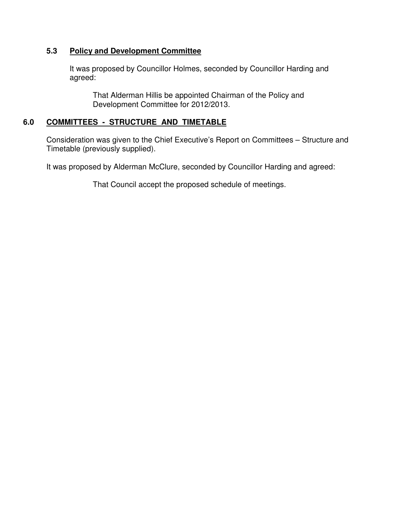# **5.3 Policy and Development Committee**

 It was proposed by Councillor Holmes, seconded by Councillor Harding and agreed:

 That Alderman Hillis be appointed Chairman of the Policy and Development Committee for 2012/2013.

# **6.0 COMMITTEES - STRUCTURE AND TIMETABLE**

 Consideration was given to the Chief Executive's Report on Committees – Structure and Timetable (previously supplied).

It was proposed by Alderman McClure, seconded by Councillor Harding and agreed:

That Council accept the proposed schedule of meetings.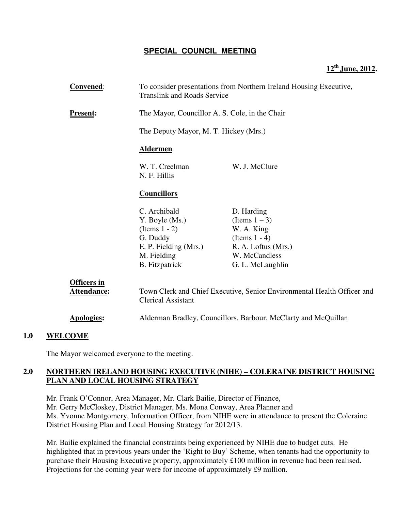# **SPECIAL COUNCIL MEETING**

# **12th June, 2012.**

| <b>Convened:</b>                  | To consider presentations from Northern Ireland Housing Executive,<br><b>Translink and Roads Service</b> |                     |
|-----------------------------------|----------------------------------------------------------------------------------------------------------|---------------------|
| <b>Present:</b>                   | The Mayor, Councillor A. S. Cole, in the Chair                                                           |                     |
|                                   | The Deputy Mayor, M. T. Hickey (Mrs.)                                                                    |                     |
|                                   | <b>Aldermen</b>                                                                                          |                     |
|                                   | W. T. Creelman<br>N. F. Hillis                                                                           | W. J. McClure       |
|                                   | <b>Councillors</b>                                                                                       |                     |
|                                   | C. Archibald                                                                                             | D. Harding          |
|                                   | Y. Boyle (Ms.)                                                                                           | (Items $1-3$ )      |
|                                   | $(Items 1 - 2)$                                                                                          | W. A. King          |
|                                   | G. Duddy                                                                                                 | (Items $1 - 4$ )    |
|                                   | E. P. Fielding (Mrs.)                                                                                    | R. A. Loftus (Mrs.) |
|                                   | M. Fielding                                                                                              | W. McCandless       |
|                                   | <b>B.</b> Fitzpatrick                                                                                    | G. L. McLaughlin    |
| <b>Officers in</b><br>Attendance: | Town Clerk and Chief Executive, Senior Environmental Health Officer and<br><b>Clerical Assistant</b>     |                     |
| <b>Apologies:</b>                 | Alderman Bradley, Councillors, Barbour, McClarty and McQuillan                                           |                     |

# **1.0 WELCOME**

The Mayor welcomed everyone to the meeting.

# **2.0 NORTHERN IRELAND HOUSING EXECUTIVE (NIHE) – COLERAINE DISTRICT HOUSING PLAN AND LOCAL HOUSING STRATEGY**

Mr. Frank O'Connor, Area Manager, Mr. Clark Bailie, Director of Finance, Mr. Gerry McCloskey, District Manager, Ms. Mona Conway, Area Planner and Ms. Yvonne Montgomery, Information Officer, from NIHE were in attendance to present the Coleraine District Housing Plan and Local Housing Strategy for 2012/13.

Mr. Bailie explained the financial constraints being experienced by NIHE due to budget cuts. He highlighted that in previous years under the 'Right to Buy' Scheme, when tenants had the opportunity to purchase their Housing Executive property, approximately £100 million in revenue had been realised. Projections for the coming year were for income of approximately £9 million.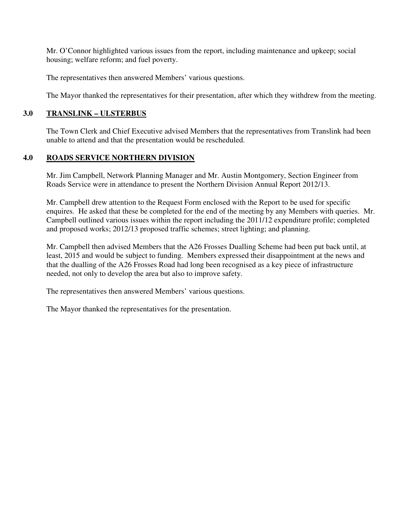Mr. O'Connor highlighted various issues from the report, including maintenance and upkeep; social housing; welfare reform; and fuel poverty.

The representatives then answered Members' various questions.

The Mayor thanked the representatives for their presentation, after which they withdrew from the meeting.

# **3.0 TRANSLINK – ULSTERBUS**

 The Town Clerk and Chief Executive advised Members that the representatives from Translink had been unable to attend and that the presentation would be rescheduled.

# **4.0 ROADS SERVICE NORTHERN DIVISION**

Mr. Jim Campbell, Network Planning Manager and Mr. Austin Montgomery, Section Engineer from Roads Service were in attendance to present the Northern Division Annual Report 2012/13.

Mr. Campbell drew attention to the Request Form enclosed with the Report to be used for specific enquires. He asked that these be completed for the end of the meeting by any Members with queries. Mr. Campbell outlined various issues within the report including the 2011/12 expenditure profile; completed and proposed works; 2012/13 proposed traffic schemes; street lighting; and planning.

Mr. Campbell then advised Members that the A26 Frosses Dualling Scheme had been put back until, at least, 2015 and would be subject to funding. Members expressed their disappointment at the news and that the dualling of the A26 Frosses Road had long been recognised as a key piece of infrastructure needed, not only to develop the area but also to improve safety.

The representatives then answered Members' various questions.

The Mayor thanked the representatives for the presentation.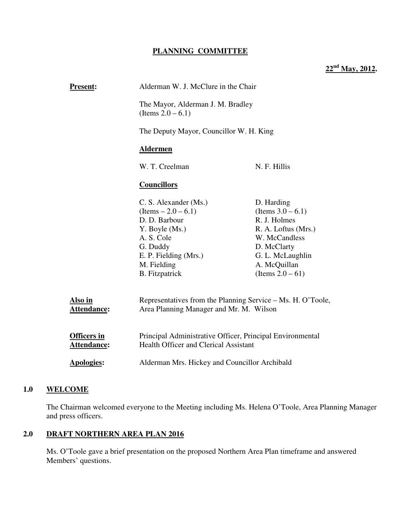# **PLANNING COMMITTEE**

**22nd May, 2012.** 

| <b>Present:</b>                   | Alderman W. J. McClure in the Chair<br>The Mayor, Alderman J. M. Bradley<br>(Items $2.0 - 6.1$ )                                                                             |                                                                                                                                                                      |
|-----------------------------------|------------------------------------------------------------------------------------------------------------------------------------------------------------------------------|----------------------------------------------------------------------------------------------------------------------------------------------------------------------|
|                                   |                                                                                                                                                                              |                                                                                                                                                                      |
|                                   | The Deputy Mayor, Councillor W. H. King                                                                                                                                      |                                                                                                                                                                      |
|                                   | <b>Aldermen</b>                                                                                                                                                              |                                                                                                                                                                      |
|                                   | W. T. Creelman                                                                                                                                                               | N. F. Hillis                                                                                                                                                         |
|                                   | <b>Councillors</b>                                                                                                                                                           |                                                                                                                                                                      |
|                                   | C. S. Alexander (Ms.)<br>$(Items - 2.0 - 6.1)$<br>D. D. Barbour<br>Y. Boyle (Ms.)<br>A. S. Cole<br>G. Duddy<br>E. P. Fielding (Mrs.)<br>M. Fielding<br><b>B.</b> Fitzpatrick | D. Harding<br>(Items $3.0 - 6.1$ )<br>R. J. Holmes<br>R. A. Loftus (Mrs.)<br>W. McCandless<br>D. McClarty<br>G. L. McLaughlin<br>A. McQuillan<br>(Items $2.0 - 61$ ) |
| Also in<br>Attendance:            | Representatives from the Planning Service – Ms. H. O'Toole,<br>Area Planning Manager and Mr. M. Wilson                                                                       |                                                                                                                                                                      |
| <b>Officers in</b><br>Attendance: | Principal Administrative Officer, Principal Environmental<br><b>Health Officer and Clerical Assistant</b>                                                                    |                                                                                                                                                                      |
| <b>Apologies:</b>                 | Alderman Mrs. Hickey and Councillor Archibald                                                                                                                                |                                                                                                                                                                      |

# **1.0 WELCOME**

The Chairman welcomed everyone to the Meeting including Ms. Helena O'Toole, Area Planning Manager and press officers.

# **2.0 DRAFT NORTHERN AREA PLAN 2016**

Ms. O'Toole gave a brief presentation on the proposed Northern Area Plan timeframe and answered Members' questions.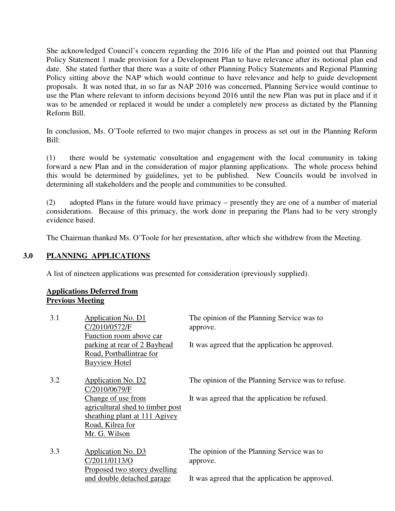She acknowledged Council's concern regarding the 2016 life of the Plan and pointed out that Planning Policy Statement 1 made provision for a Development Plan to have relevance after its notional plan end date. She stated further that there was a suite of other Planning Policy Statements and Regional Planning Policy sitting above the NAP which would continue to have relevance and help to guide development proposals. It was noted that, in so far as NAP 2016 was concerned, Planning Service would continue to use the Plan where relevant to inform decisions beyond 2016 until the new Plan was put in place and if it was to be amended or replaced it would be under a completely new process as dictated by the Planning Reform Bill.

In conclusion, Ms. O'Toole referred to two major changes in process as set out in the Planning Reform Bill:

(1) there would be systematic consultation and engagement with the local community in taking forward a new Plan and in the consideration of major planning applications. The whole process behind this would be determined by guidelines, yet to be published. New Councils would be involved in determining all stakeholders and the people and communities to be consulted.

(2) adopted Plans in the future would have primacy – presently they are one of a number of material considerations. Because of this primacy, the work done in preparing the Plans had to be very strongly evidence based.

The Chairman thanked Ms. O'Toole for her presentation, after which she withdrew from the Meeting.

### **3.0 PLANNING APPLICATIONS**

A list of nineteen applications was presented for consideration (previously supplied).

#### **Applications Deferred from Previous Meeting**

| 3.1 | Application No. D1<br>C/2010/0572/F<br>Function room above car<br>parking at rear of 2 Bayhead<br>Road, Portballintrae for<br><b>Bayview Hotel</b>                  | The opinion of the Planning Service was to<br>approve.<br>It was agreed that the application be approved. |
|-----|---------------------------------------------------------------------------------------------------------------------------------------------------------------------|-----------------------------------------------------------------------------------------------------------|
| 3.2 | Application No. D2<br>C/2010/0679/F<br>Change of use from<br>agricultural shed to timber post<br>sheathing plant at 111 Agivey<br>Road, Kilrea for<br>Mr. G. Wilson | The opinion of the Planning Service was to refuse.<br>It was agreed that the application be refused.      |
| 3.3 | Application No. D3<br>C/2011/0113/O<br>Proposed two storey dwelling<br>and double detached garage                                                                   | The opinion of the Planning Service was to<br>approve.<br>It was agreed that the application be approved. |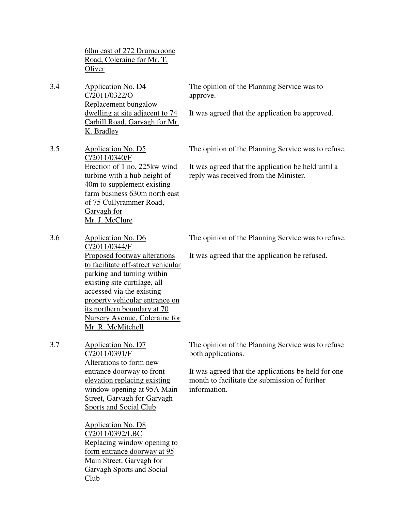60m east of 272 Drumcroone Road, Coleraine for Mr. T. **Oliver** 

3.4 Application No. D4 C/2011/0322/O Replacement bungalow dwelling at site adjacent to 74 Carhill Road, Garvagh for Mr. K. Bradley

The opinion of the Planning Service was to approve.

It was agreed that the application be approved.

3.5 Application No. D5 C/2011/0340/F Erection of 1 no. 225kw wind turbine with a hub height of 40m to supplement existing farm business 630m north east of 75 Cullyrammer Road, Garvagh for Mr. J. McClure

The opinion of the Planning Service was to refuse.

It was agreed that the application be held until a reply was received from the Minister.

The opinion of the Planning Service was to refuse.

It was agreed that the application be refused.

3.6 Application No. D6 C/2011/0344/F Proposed footway alterations to facilitate off-street vehicular parking and turning within existing site curtilage, all accessed via the existing property vehicular entrance on its northern boundary at 70 Nursery Avenue, Coleraine for Mr. R. McMitchell

3.7 Application No. D7 C/2011/0391/F Alterations to form new entrance doorway to front elevation replacing existing window opening at 95A Main Street, Garvagh for Garvagh Sports and Social Club

> Application No. D8 C/2011/0392/LBC Replacing window opening to form entrance doorway at 95 Main Street, Garvagh for Garvagh Sports and Social Club

The opinion of the Planning Service was to refuse both applications.

It was agreed that the applications be held for one month to facilitate the submission of further information.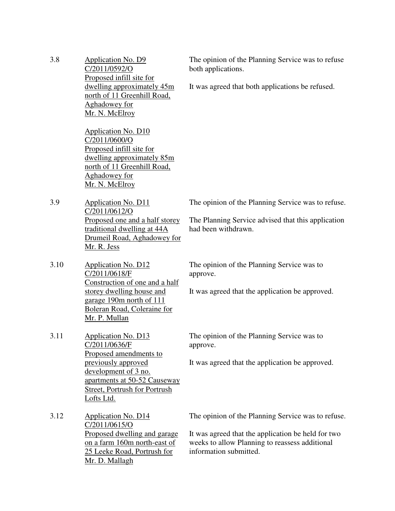| 3.8  | <b>Application No. D9</b><br>C/2011/0592/O<br>Proposed infill site for                                                                                                                              | The opinion of the Planning Service was to refuse<br>both applications.                                                                                                              |
|------|-----------------------------------------------------------------------------------------------------------------------------------------------------------------------------------------------------|--------------------------------------------------------------------------------------------------------------------------------------------------------------------------------------|
|      | dwelling approximately 45m<br>north of 11 Greenhill Road,<br>Aghadowey for<br>Mr. N. McElroy                                                                                                        | It was agreed that both applications be refused.                                                                                                                                     |
|      | <b>Application No. D10</b><br>C/2011/0600/O<br>Proposed infill site for<br>dwelling approximately 85m<br>north of 11 Greenhill Road,<br><b>Aghadowey</b> for<br>Mr. N. McElroy                      |                                                                                                                                                                                      |
| 3.9  | Application No. D11<br>C/2011/0612/O<br>Proposed one and a half storey<br>traditional dwelling at 44A<br>Drumeil Road, Aghadowey for<br>Mr. R. Jess                                                 | The opinion of the Planning Service was to refuse.<br>The Planning Service advised that this application<br>had been withdrawn.                                                      |
| 3.10 | <b>Application No. D12</b><br>C/2011/0618/F<br>Construction of one and a half<br>storey dwelling house and<br>garage 190m north of 111<br>Boleran Road, Coleraine for<br>Mr. P. Mullan              | The opinion of the Planning Service was to<br>approve.<br>It was agreed that the application be approved.                                                                            |
| 3.11 | Application No. D13<br>C/2011/0636/F<br>Proposed amendments to<br>previously approved<br>development of 3 no.<br>apartments at 50-52 Causeway<br><b>Street, Portrush for Portrush</b><br>Lofts Ltd. | The opinion of the Planning Service was to<br>approve.<br>It was agreed that the application be approved.                                                                            |
| 3.12 | <b>Application No. D14</b><br>C/2011/0615/O<br>Proposed dwelling and garage<br>on a farm 160m north-east of<br>25 Leeke Road, Portrush for<br>Mr. D. Mallagh                                        | The opinion of the Planning Service was to refuse.<br>It was agreed that the application be held for two<br>weeks to allow Planning to reassess additional<br>information submitted. |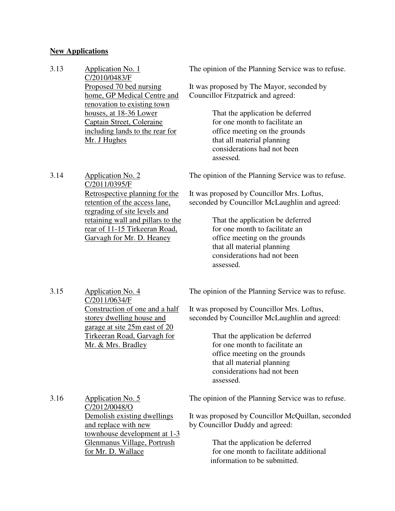# **New Applications**

| 3.13 | <b>Application No. 1</b><br>C/2010/0483/F                                                                                                                                                             | The opinion of the Planning Service was to refuse.                                                                                                                                                                                                                                                                                 |
|------|-------------------------------------------------------------------------------------------------------------------------------------------------------------------------------------------------------|------------------------------------------------------------------------------------------------------------------------------------------------------------------------------------------------------------------------------------------------------------------------------------------------------------------------------------|
|      | Proposed 70 bed nursing<br>home, GP Medical Centre and<br>renovation to existing town                                                                                                                 | It was proposed by The Mayor, seconded by<br>Councillor Fitzpatrick and agreed:                                                                                                                                                                                                                                                    |
|      | houses, at 18-36 Lower<br>Captain Street, Coleraine<br>including lands to the rear for<br>Mr. J Hughes                                                                                                | That the application be deferred<br>for one month to facilitate an<br>office meeting on the grounds<br>that all material planning<br>considerations had not been<br>assessed.                                                                                                                                                      |
| 3.14 | <b>Application No. 2</b><br>C/2011/0395/F                                                                                                                                                             | The opinion of the Planning Service was to refuse.                                                                                                                                                                                                                                                                                 |
|      | Retrospective planning for the<br>retention of the access lane,<br>regrading of site levels and<br>retaining wall and pillars to the<br>rear of 11-15 Tirkeeran Road,<br>Garvagh for Mr. D. Heaney    | It was proposed by Councillor Mrs. Loftus,<br>seconded by Councillor McLaughlin and agreed:<br>That the application be deferred<br>for one month to facilitate an<br>office meeting on the grounds<br>that all material planning<br>considerations had not been<br>assessed.                                                       |
| 3.15 | <b>Application No. 4</b><br>C/2011/0634/F<br>Construction of one and a half<br>storey dwelling house and<br>garage at site 25m east of 20<br><b>Tirkeeran Road, Garvagh for</b><br>Mr. & Mrs. Bradley | The opinion of the Planning Service was to refuse.<br>It was proposed by Councillor Mrs. Loftus,<br>seconded by Councillor McLaughlin and agreed:<br>That the application be deferred<br>for one month to facilitate an<br>office meeting on the grounds<br>that all material planning<br>considerations had not been<br>assessed. |
| 3.16 | Application No. 5<br>C/2012/0048/O<br>Demolish existing dwellings<br>and replace with new<br>townhouse development at 1-3<br>Glenmanus Village, Portrush<br>for Mr. D. Wallace                        | The opinion of the Planning Service was to refuse.<br>It was proposed by Councillor McQuillan, seconded<br>by Councillor Duddy and agreed:<br>That the application be deferred<br>for one month to facilitate additional<br>information to be submitted.                                                                           |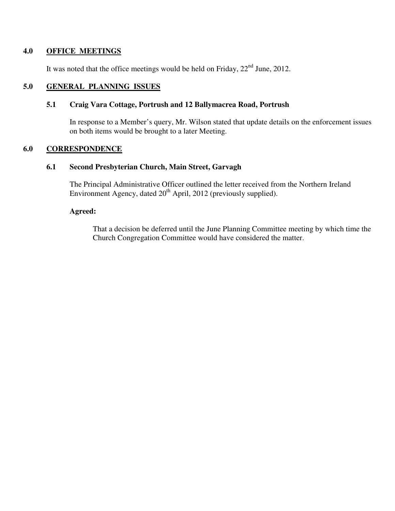### **4.0 OFFICE MEETINGS**

It was noted that the office meetings would be held on Friday,  $22<sup>nd</sup>$  June, 2012.

# **5.0 GENERAL PLANNING ISSUES**

### **5.1 Craig Vara Cottage, Portrush and 12 Ballymacrea Road, Portrush**

In response to a Member's query, Mr. Wilson stated that update details on the enforcement issues on both items would be brought to a later Meeting.

## **6.0 CORRESPONDENCE**

### **6.1 Second Presbyterian Church, Main Street, Garvagh**

The Principal Administrative Officer outlined the letter received from the Northern Ireland Environment Agency, dated  $20<sup>th</sup>$  April, 2012 (previously supplied).

# **Agreed:**

That a decision be deferred until the June Planning Committee meeting by which time the Church Congregation Committee would have considered the matter.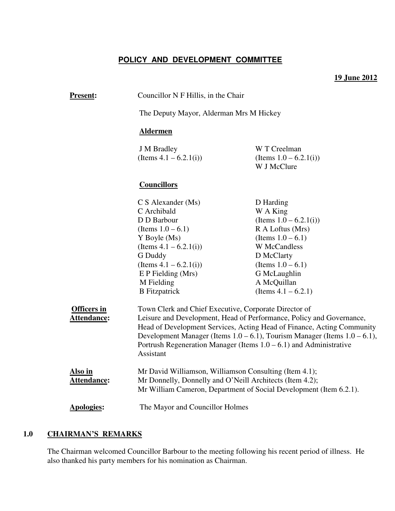# **POLICY AND DEVELOPMENT COMMITTEE**

## **19 June 2012**

| <b>Present:</b>                          | Councillor N F Hillis, in the Chair                                                                                                                                                                                                                                                                                                                                                                                                |                                                                                                                                                                                            |
|------------------------------------------|------------------------------------------------------------------------------------------------------------------------------------------------------------------------------------------------------------------------------------------------------------------------------------------------------------------------------------------------------------------------------------------------------------------------------------|--------------------------------------------------------------------------------------------------------------------------------------------------------------------------------------------|
|                                          | The Deputy Mayor, Alderman Mrs M Hickey                                                                                                                                                                                                                                                                                                                                                                                            |                                                                                                                                                                                            |
|                                          | <b>Aldermen</b>                                                                                                                                                                                                                                                                                                                                                                                                                    |                                                                                                                                                                                            |
|                                          | <b>J</b> M Bradley<br>(Items $4.1 - 6.2.1(i)$ )                                                                                                                                                                                                                                                                                                                                                                                    | W T Creelman<br>(Items $1.0 - 6.2.1(i)$ )<br>W J McClure                                                                                                                                   |
|                                          | <b>Councillors</b>                                                                                                                                                                                                                                                                                                                                                                                                                 |                                                                                                                                                                                            |
|                                          | C S Alexander (Ms)<br>C Archibald<br>D D Barbour<br>(Items $1.0 - 6.1$ )<br>Y Boyle (Ms)<br>(Items $4.1 - 6.2.1(i)$ )<br>G Duddy<br>(Items $4.1 - 6.2.1(i)$ )<br>$E$ P Fielding (Mrs)<br>M Fielding                                                                                                                                                                                                                                | D Harding<br>W A King<br>(Items $1.0 - 6.2.1(i)$ )<br>R A Loftus (Mrs)<br>(Items $1.0 - 6.1$ )<br><b>W</b> McCandless<br>D McClarty<br>(Items $1.0 - 6.1$ )<br>G McLaughlin<br>A McQuillan |
| <b>Officers in</b><br><b>Attendance:</b> | (Items $4.1 - 6.2.1$ )<br><b>B</b> Fitzpatrick<br>Town Clerk and Chief Executive, Corporate Director of<br>Leisure and Development, Head of Performance, Policy and Governance,<br>Head of Development Services, Acting Head of Finance, Acting Community<br>Development Manager (Items $1.0 - 6.1$ ), Tourism Manager (Items $1.0 - 6.1$ ),<br>Portrush Regeneration Manager (Items $1.0 - 6.1$ ) and Administrative<br>Assistant |                                                                                                                                                                                            |
| Also in<br>Attendance:                   | Mr David Williamson, Williamson Consulting (Item 4.1);<br>Mr Donnelly, Donnelly and O'Neill Architects (Item 4.2);<br>Mr William Cameron, Department of Social Development (Item 6.2.1).                                                                                                                                                                                                                                           |                                                                                                                                                                                            |
| <b>Apologies:</b>                        | The Mayor and Councillor Holmes                                                                                                                                                                                                                                                                                                                                                                                                    |                                                                                                                                                                                            |

# **1.0 CHAIRMAN'S REMARKS**

The Chairman welcomed Councillor Barbour to the meeting following his recent period of illness. He also thanked his party members for his nomination as Chairman.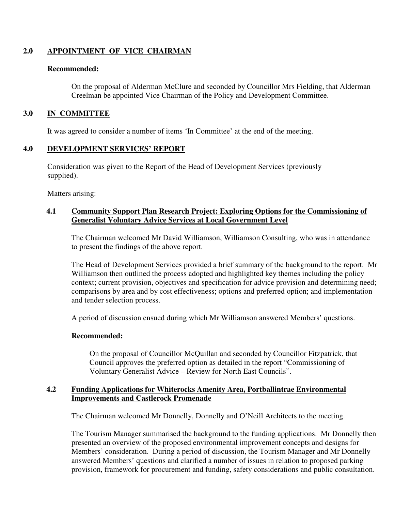# **2.0 APPOINTMENT OF VICE CHAIRMAN**

### **Recommended:**

On the proposal of Alderman McClure and seconded by Councillor Mrs Fielding, that Alderman Creelman be appointed Vice Chairman of the Policy and Development Committee.

## **3.0 IN COMMITTEE**

It was agreed to consider a number of items 'In Committee' at the end of the meeting.

# **4.0 DEVELOPMENT SERVICES' REPORT**

 Consideration was given to the Report of the Head of Development Services (previously supplied).

Matters arising:

### **4.1 Community Support Plan Research Project: Exploring Options for the Commissioning of Generalist Voluntary Advice Services at Local Government Level**

The Chairman welcomed Mr David Williamson, Williamson Consulting, who was in attendance to present the findings of the above report.

The Head of Development Services provided a brief summary of the background to the report. Mr Williamson then outlined the process adopted and highlighted key themes including the policy context; current provision, objectives and specification for advice provision and determining need; comparisons by area and by cost effectiveness; options and preferred option; and implementation and tender selection process.

A period of discussion ensued during which Mr Williamson answered Members' questions.

### **Recommended:**

On the proposal of Councillor McQuillan and seconded by Councillor Fitzpatrick, that Council approves the preferred option as detailed in the report "Commissioning of Voluntary Generalist Advice – Review for North East Councils".

### **4.2 Funding Applications for Whiterocks Amenity Area, Portballintrae Environmental Improvements and Castlerock Promenade**

The Chairman welcomed Mr Donnelly, Donnelly and O'Neill Architects to the meeting.

The Tourism Manager summarised the background to the funding applications. Mr Donnelly then presented an overview of the proposed environmental improvement concepts and designs for Members' consideration. During a period of discussion, the Tourism Manager and Mr Donnelly answered Members' questions and clarified a number of issues in relation to proposed parking provision, framework for procurement and funding, safety considerations and public consultation.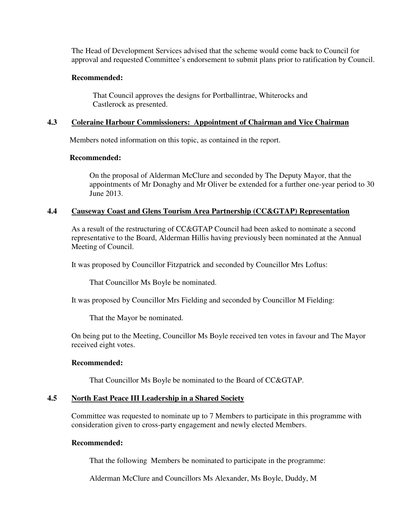The Head of Development Services advised that the scheme would come back to Council for approval and requested Committee's endorsement to submit plans prior to ratification by Council.

### **Recommended:**

 That Council approves the designs for Portballintrae, Whiterocks and Castlerock as presented.

## **4.3 Coleraine Harbour Commissioners: Appointment of Chairman and Vice Chairman**

Members noted information on this topic, as contained in the report.

### **Recommended:**

On the proposal of Alderman McClure and seconded by The Deputy Mayor, that the appointments of Mr Donaghy and Mr Oliver be extended for a further one-year period to 30 June 2013.

### **4.4 Causeway Coast and Glens Tourism Area Partnership (CC&GTAP) Representation**

As a result of the restructuring of CC&GTAP Council had been asked to nominate a second representative to the Board, Alderman Hillis having previously been nominated at the Annual Meeting of Council.

It was proposed by Councillor Fitzpatrick and seconded by Councillor Mrs Loftus:

That Councillor Ms Boyle be nominated.

It was proposed by Councillor Mrs Fielding and seconded by Councillor M Fielding:

That the Mayor be nominated.

On being put to the Meeting, Councillor Ms Boyle received ten votes in favour and The Mayor received eight votes.

### **Recommended:**

That Councillor Ms Boyle be nominated to the Board of CC&GTAP.

### **4.5 North East Peace III Leadership in a Shared Society**

Committee was requested to nominate up to 7 Members to participate in this programme with consideration given to cross-party engagement and newly elected Members.

### **Recommended:**

That the following Members be nominated to participate in the programme:

Alderman McClure and Councillors Ms Alexander, Ms Boyle, Duddy, M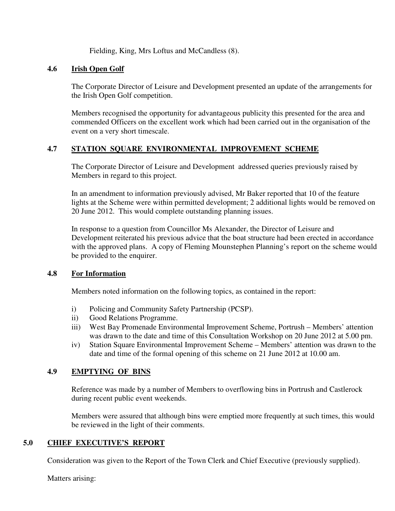Fielding, King, Mrs Loftus and McCandless (8).

## **4.6 Irish Open Golf**

The Corporate Director of Leisure and Development presented an update of the arrangements for the Irish Open Golf competition.

Members recognised the opportunity for advantageous publicity this presented for the area and commended Officers on the excellent work which had been carried out in the organisation of the event on a very short timescale.

# **4.7 STATION SQUARE ENVIRONMENTAL IMPROVEMENT SCHEME**

The Corporate Director of Leisure and Development addressed queries previously raised by Members in regard to this project.

In an amendment to information previously advised, Mr Baker reported that 10 of the feature lights at the Scheme were within permitted development; 2 additional lights would be removed on 20 June 2012. This would complete outstanding planning issues.

In response to a question from Councillor Ms Alexander, the Director of Leisure and Development reiterated his previous advice that the boat structure had been erected in accordance with the approved plans. A copy of Fleming Mounstephen Planning's report on the scheme would be provided to the enquirer.

### **4.8 For Information**

Members noted information on the following topics, as contained in the report:

- i) Policing and Community Safety Partnership (PCSP).
- ii) Good Relations Programme.
- iii) West Bay Promenade Environmental Improvement Scheme, Portrush Members' attention was drawn to the date and time of this Consultation Workshop on 20 June 2012 at 5.00 pm.
- iv) Station Square Environmental Improvement Scheme Members' attention was drawn to the date and time of the formal opening of this scheme on 21 June 2012 at 10.00 am.

# **4.9 EMPTYING OF BINS**

Reference was made by a number of Members to overflowing bins in Portrush and Castlerock during recent public event weekends.

Members were assured that although bins were emptied more frequently at such times, this would be reviewed in the light of their comments.

# **5.0 CHIEF EXECUTIVE'S REPORT**

Consideration was given to the Report of the Town Clerk and Chief Executive (previously supplied).

Matters arising: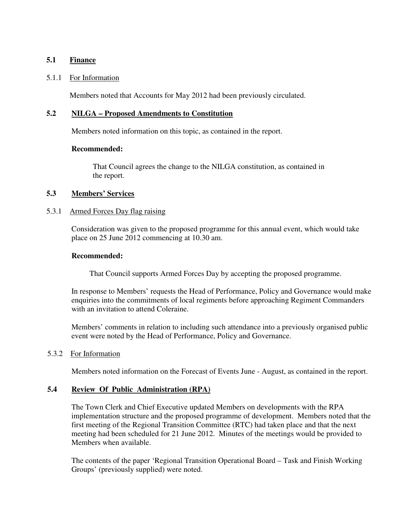### **5.1 Finance**

### 5.1.1 For Information

Members noted that Accounts for May 2012 had been previously circulated.

### **5.2 NILGA – Proposed Amendments to Constitution**

Members noted information on this topic, as contained in the report.

### **Recommended:**

That Council agrees the change to the NILGA constitution, as contained in the report.

## **5.3 Members' Services**

### 5.3.1 Armed Forces Day flag raising

 Consideration was given to the proposed programme for this annual event, which would take place on 25 June 2012 commencing at 10.30 am.

### **Recommended:**

That Council supports Armed Forces Day by accepting the proposed programme.

In response to Members' requests the Head of Performance, Policy and Governance would make enquiries into the commitments of local regiments before approaching Regiment Commanders with an invitation to attend Coleraine.

Members' comments in relation to including such attendance into a previously organised public event were noted by the Head of Performance, Policy and Governance.

### 5.3.2 For Information

Members noted information on the Forecast of Events June - August, as contained in the report.

# **5.4 Review Of Public Administration (RPA)**

The Town Clerk and Chief Executive updated Members on developments with the RPA implementation structure and the proposed programme of development. Members noted that the first meeting of the Regional Transition Committee (RTC) had taken place and that the next meeting had been scheduled for 21 June 2012. Minutes of the meetings would be provided to Members when available.

The contents of the paper 'Regional Transition Operational Board – Task and Finish Working Groups' (previously supplied) were noted.